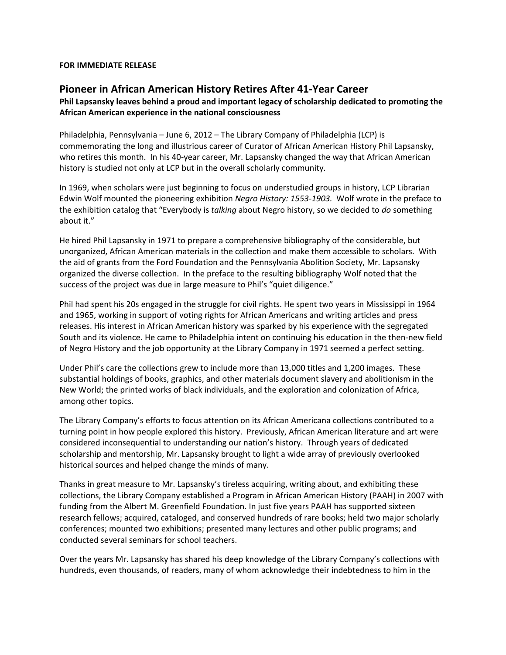## **FOR IMMEDIATE RELEASE**

## **Pioneer in African American History Retires After 41‐Year Career**

## **Phil Lapsansky leaves behind a proud and important legacy of scholarship dedicated to promoting the African American experience in the national consciousness**

Philadelphia, Pennsylvania – June 6, 2012 – The Library Company of Philadelphia (LCP) is commemorating the long and illustrious career of Curator of African American History Phil Lapsansky, who retires this month. In his 40‐year career, Mr. Lapsansky changed the way that African American history is studied not only at LCP but in the overall scholarly community.

In 1969, when scholars were just beginning to focus on understudied groups in history, LCP Librarian Edwin Wolf mounted the pioneering exhibition *Negro History: 1553‐1903.* Wolf wrote in the preface to the exhibition catalog that "Everybody is *talking* about Negro history, so we decided to *do* something about it."

He hired Phil Lapsansky in 1971 to prepare a comprehensive bibliography of the considerable, but unorganized, African American materials in the collection and make them accessible to scholars. With the aid of grants from the Ford Foundation and the Pennsylvania Abolition Society, Mr. Lapsansky organized the diverse collection. In the preface to the resulting bibliography Wolf noted that the success of the project was due in large measure to Phil's "quiet diligence."

Phil had spent his 20s engaged in the struggle for civil rights. He spent two years in Mississippi in 1964 and 1965, working in support of voting rights for African Americans and writing articles and press releases. His interest in African American history was sparked by his experience with the segregated South and its violence. He came to Philadelphia intent on continuing his education in the then‐new field of Negro History and the job opportunity at the Library Company in 1971 seemed a perfect setting.

Under Phil's care the collections grew to include more than 13,000 titles and 1,200 images. These substantial holdings of books, graphics, and other materials document slavery and abolitionism in the New World; the printed works of black individuals, and the exploration and colonization of Africa, among other topics.

The Library Company's efforts to focus attention on its African Americana collections contributed to a turning point in how people explored this history. Previously, African American literature and art were considered inconsequential to understanding our nation's history. Through years of dedicated scholarship and mentorship, Mr. Lapsansky brought to light a wide array of previously overlooked historical sources and helped change the minds of many.

Thanks in great measure to Mr. Lapsansky's tireless acquiring, writing about, and exhibiting these collections, the Library Company established a Program in African American History (PAAH) in 2007 with funding from the Albert M. Greenfield Foundation. In just five years PAAH has supported sixteen research fellows; acquired, cataloged, and conserved hundreds of rare books; held two major scholarly conferences; mounted two exhibitions; presented many lectures and other public programs; and conducted several seminars for school teachers.

Over the years Mr. Lapsansky has shared his deep knowledge of the Library Company's collections with hundreds, even thousands, of readers, many of whom acknowledge their indebtedness to him in the